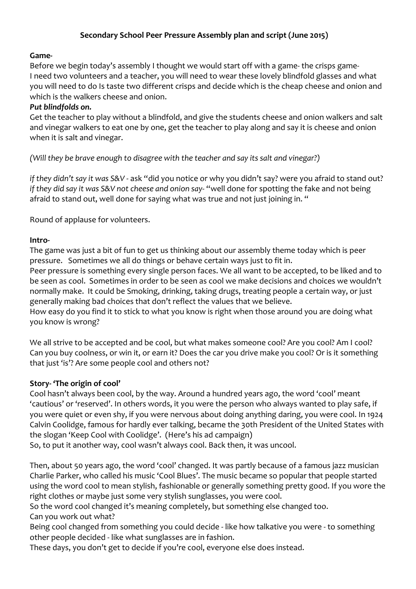# Secondary School Peer Pressure Assembly plan and script (June 2015)

## **Game-**

Before we begin today's assembly I thought we would start off with a game- the crisps game-I need two volunteers and a teacher, you will need to wear these lovely blindfold glasses and what you will need to do Is taste two different crisps and decide which is the cheap cheese and onion and which is the walkers cheese and onion.

#### **Put blindfolds on.**

Get the teacher to play without a blindfold, and give the students cheese and onion walkers and salt and vinegar walkers to eat one by one, get the teacher to play along and say it is cheese and onion when it is salt and vinegar.

*(Will they be brave enough to disagree with the teacher and say its salt and vinegar?)* 

*if* they didn't say it was S&V - ask "did you notice or why you didn't say? were you afraid to stand out? *if they did say it was S&V not cheese and onion say-* "well done for spotting the fake and not being afraid to stand out, well done for saying what was true and not just joining in. "

Round of applause for volunteers.

## **Intro-**

The game was just a bit of fun to get us thinking about our assembly theme today which is peer pressure. Sometimes we all do things or behave certain ways just to fit in.

Peer pressure is something every single person faces. We all want to be accepted, to be liked and to be seen as cool. Sometimes in order to be seen as cool we make decisions and choices we wouldn't normally make. It could be Smoking, drinking, taking drugs, treating people a certain way, or just generally making bad choices that don't reflect the values that we believe.

How easy do you find it to stick to what you know is right when those around you are doing what you know is wrong?

We all strive to be accepted and be cool, but what makes someone cool? Are you cool? Am I cool? Can you buy coolness, or win it, or earn it? Does the car you drive make you cool? Or is it something that just 'is'? Are some people cool and others not?

#### **Story-** 'The origin of cool'

Cool hasn't always been cool, by the way. Around a hundred years ago, the word 'cool' meant 'cautious' or 'reserved'. In others words, it you were the person who always wanted to play safe, if you were quiet or even shy, if you were nervous about doing anything daring, you were cool. In 1924 Calvin Coolidge, famous for hardly ever talking, became the 30th President of the United States with the slogan 'Keep Cool with Coolidge'. (Here's his ad campaign)

So, to put it another way, cool wasn't always cool. Back then, it was uncool.

Then, about 50 years ago, the word 'cool' changed. It was partly because of a famous jazz musician Charlie Parker, who called his music 'Cool Blues'. The music became so popular that people started using the word cool to mean stylish, fashionable or generally something pretty good. If you wore the right clothes or maybe just some very stylish sunglasses, you were cool.

So the word cool changed it's meaning completely, but something else changed too. Can you work out what?

Being cool changed from something you could decide - like how talkative you were - to something other people decided - like what sunglasses are in fashion.

These days, you don't get to decide if you're cool, everyone else does instead.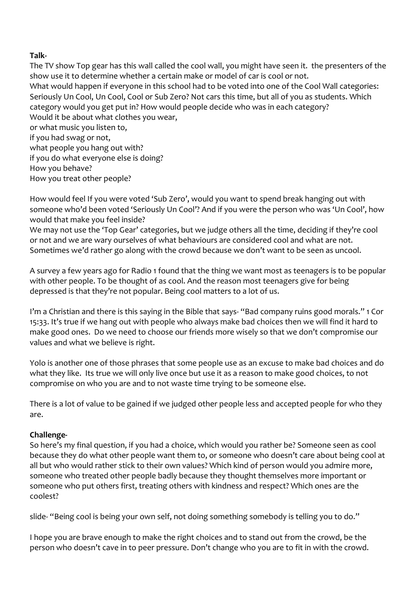## **Talk-**

The TV show Top gear has this wall called the cool wall, you might have seen it. the presenters of the show use it to determine whether a certain make or model of car is cool or not. What would happen if everyone in this school had to be voted into one of the Cool Wall categories: Seriously Un Cool, Un Cool, Cool or Sub Zero? Not cars this time, but all of you as students. Which category would you get put in? How would people decide who was in each category? Would it be about what clothes you wear, or what music you listen to, if you had swag or not, what people you hang out with? if you do what everyone else is doing? How you behave? How you treat other people?

How would feel If you were voted 'Sub Zero', would you want to spend break hanging out with someone who'd been voted 'Seriously Un Cool'? And if you were the person who was 'Un Cool', how would that make you feel inside?

We may not use the 'Top Gear' categories, but we judge others all the time, deciding if they're cool or not and we are wary ourselves of what behaviours are considered cool and what are not. Sometimes we'd rather go along with the crowd because we don't want to be seen as uncool.

A survey a few years ago for Radio 1 found that the thing we want most as teenagers is to be popular with other people. To be thought of as cool. And the reason most teenagers give for being depressed is that they're not popular. Being cool matters to a lot of us.

I'm a Christian and there is this saying in the Bible that says- "Bad company ruins good morals." 1 Cor 15:33. It's true if we hang out with people who always make bad choices then we will find it hard to make good ones. Do we need to choose our friends more wisely so that we don't compromise our values and what we believe is right.

Yolo is another one of those phrases that some people use as an excuse to make bad choices and do what they like. Its true we will only live once but use it as a reason to make good choices, to not compromise on who you are and to not waste time trying to be someone else.

There is a lot of value to be gained if we judged other people less and accepted people for who they are.

# **Challenge-**

So here's my final question, if you had a choice, which would you rather be? Someone seen as cool because they do what other people want them to, or someone who doesn't care about being cool at all but who would rather stick to their own values? Which kind of person would you admire more, someone who treated other people badly because they thought themselves more important or someone who put others first, treating others with kindness and respect? Which ones are the coolest?

slide- "Being cool is being your own self, not doing something somebody is telling you to do."

I hope you are brave enough to make the right choices and to stand out from the crowd, be the person who doesn't cave in to peer pressure. Don't change who you are to fit in with the crowd.